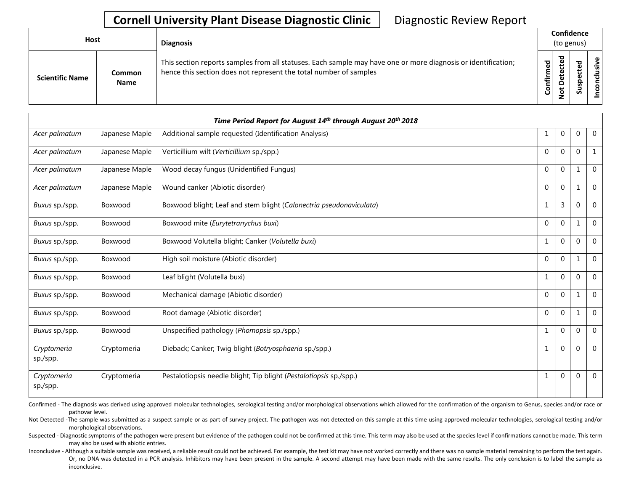## **Cornell University Plant Disease Diagnostic Clinic** | Diagnostic Review Report

| Host                   |                       |                                                                                                                                                                                                 |        | <b>Diagnosis</b> |                       | Confidence<br>(to genus) |  |  |
|------------------------|-----------------------|-------------------------------------------------------------------------------------------------------------------------------------------------------------------------------------------------|--------|------------------|-----------------------|--------------------------|--|--|
| <b>Scientific Name</b> | Common<br><b>Name</b> | This section reports samples from all statuses. Each sample may have one or more diagnosis or identification;<br>Confirmed<br>hence this section does not represent the total number of samples | ъ<br>Δ | s<br>n           | usive<br>᠊ᠣ<br>c<br>g |                          |  |  |

|                         |                | Time Period Report for August 14th through August 20th 2018         |             |              |          |                |
|-------------------------|----------------|---------------------------------------------------------------------|-------------|--------------|----------|----------------|
| Acer palmatum           | Japanese Maple | Additional sample requested (Identification Analysis)               | 1           | 0            | 0        | $\overline{0}$ |
| Acer palmatum           | Japanese Maple | Verticillium wilt (Verticillium sp./spp.)                           | $\Omega$    | $\mathbf{0}$ | $\Omega$ | $\mathbf{1}$   |
| Acer palmatum           | Japanese Maple | Wood decay fungus (Unidentified Fungus)                             | $\theta$    | 0            | 1        | $\mathbf 0$    |
| Acer palmatum           | Japanese Maple | Wound canker (Abiotic disorder)                                     | $\Omega$    | $\Omega$     |          | $\overline{0}$ |
| Buxus sp./spp.          | Boxwood        | Boxwood blight; Leaf and stem blight (Calonectria pseudonaviculata) | $\mathbf 1$ | 3            | $\Omega$ | $\mathbf 0$    |
| Buxus sp./spp.          | Boxwood        | Boxwood mite (Eurytetranychus buxi)                                 | $\Omega$    | 0            |          | $\overline{0}$ |
| Buxus sp./spp.          | Boxwood        | Boxwood Volutella blight; Canker (Volutella buxi)                   | 1           | $\Omega$     | $\Omega$ | $\Omega$       |
| Buxus sp./spp.          | Boxwood        | High soil moisture (Abiotic disorder)                               | $\Omega$    | $\Omega$     |          | $\mathbf 0$    |
| Buxus sp./spp.          | Boxwood        | Leaf blight (Volutella buxi)                                        | 1           | $\Omega$     | $\Omega$ | $\Omega$       |
| Buxus sp./spp.          | Boxwood        | Mechanical damage (Abiotic disorder)                                | $\Omega$    | $\Omega$     | 1        | $\Omega$       |
| Buxus sp./spp.          | Boxwood        | Root damage (Abiotic disorder)                                      | $\Omega$    | $\Omega$     | 1        | $\Omega$       |
| Buxus sp./spp.          | Boxwood        | Unspecified pathology (Phomopsis sp./spp.)                          | 1           | $\Omega$     | $\Omega$ | $\mathbf 0$    |
| Cryptomeria<br>sp./spp. | Cryptomeria    | Dieback; Canker; Twig blight (Botryosphaeria sp./spp.)              | -1          | 0            | $\Omega$ | $\Omega$       |
| Cryptomeria<br>sp./spp. | Cryptomeria    | Pestalotiopsis needle blight; Tip blight (Pestalotiopsis sp./spp.)  | 1           | $\mathbf{0}$ | $\Omega$ | $\mathbf 0$    |

Confirmed - The diagnosis was derived using approved molecular technologies, serological testing and/or morphological observations which allowed for the confirmation of the organism to Genus, species and/or race or pathovar level.

Not Detected -The sample was submitted as a suspect sample or as part of survey project. The pathogen was not detected on this sample at this time using approved molecular technologies, serological testing and/or morphological observations.

Suspected - Diagnostic symptoms of the pathogen were present but evidence of the pathogen could not be confirmed at this time. This term may also be used at the species level if confirmations cannot be made. This term may also be used with abiotic entries.

Inconclusive - Although a suitable sample was received, a reliable result could not be achieved. For example, the test kit may have not worked correctly and there was no sample material remaining to perform the test again. Or, no DNA was detected in a PCR analysis. Inhibitors may have been present in the sample. A second attempt may have been made with the same results. The only conclusion is to label the sample as inconclusive.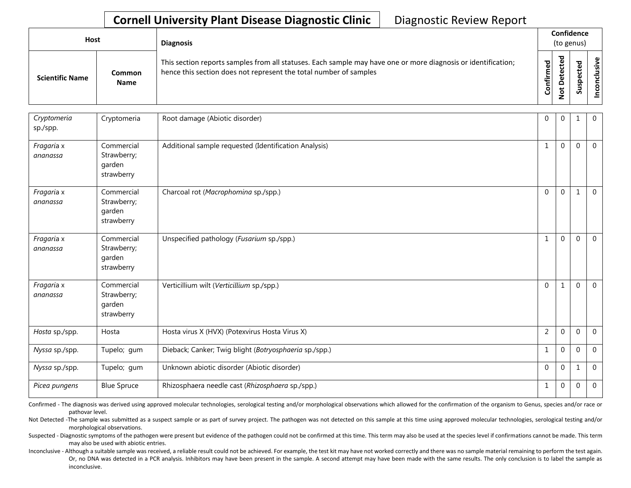## **Cornell University Plant Disease Diagnostic Clinic** | Diagnostic Review Report

| <b>Host</b>            |                       |                                                                                                                                                                                                 |                                          | <b>Diagnosis</b> |                 | Confidence<br>(to genus) |  |  |
|------------------------|-----------------------|-------------------------------------------------------------------------------------------------------------------------------------------------------------------------------------------------|------------------------------------------|------------------|-----------------|--------------------------|--|--|
| <b>Scientific Name</b> | Common<br><b>Name</b> | This section reports samples from all statuses. Each sample may have one or more diagnosis or identification;<br>Confirmed<br>hence this section does not represent the total number of samples | ъ<br>ں<br>Φ<br>سد<br>$\Omega$<br>سه<br>- | ശ                | Φ<br>usiv<br>᠊ᠣ |                          |  |  |

| Cryptomeria<br>sp./spp. | Cryptomeria                                       | Root damage (Abiotic disorder)                         | $\Omega$       | $\Omega$    |              | $\overline{0}$ |
|-------------------------|---------------------------------------------------|--------------------------------------------------------|----------------|-------------|--------------|----------------|
| Fragaria x<br>ananassa  | Commercial<br>Strawberry;<br>garden<br>strawberry | Additional sample requested (Identification Analysis)  | $\mathbf{1}$   | $\Omega$    | $\mathbf{0}$ | $\mathbf 0$    |
| Fragaria x<br>ananassa  | Commercial<br>Strawberry;<br>garden<br>strawberry | Charcoal rot (Macrophomina sp./spp.)                   | $\mathbf{0}$   | $\Omega$    | 1            | $\overline{0}$ |
| Fragaria x<br>ananassa  | Commercial<br>Strawberry;<br>garden<br>strawberry | Unspecified pathology (Fusarium sp./spp.)              | 1              | $\Omega$    | $\Omega$     | $\mathbf 0$    |
| Fragaria x<br>ananassa  | Commercial<br>Strawberry;<br>garden<br>strawberry | Verticillium wilt (Verticillium sp./spp.)              | $\Omega$       | 1           | $\Omega$     | $\overline{0}$ |
| Hosta sp./spp.          | Hosta                                             | Hosta virus X (HVX) (Potexvirus Hosta Virus X)         | $\overline{2}$ | $\Omega$    | $\Omega$     | $\mathbf{0}$   |
| Nyssa sp./spp.          | Tupelo; gum                                       | Dieback; Canker; Twig blight (Botryosphaeria sp./spp.) | 1              | $\Omega$    | $\Omega$     | $\overline{0}$ |
| Nyssa sp./spp.          | Tupelo; gum                                       | Unknown abiotic disorder (Abiotic disorder)            | $\Omega$       | $\mathbf 0$ | 1            | $\mathbf{0}$   |
| Picea pungens           | <b>Blue Spruce</b>                                | Rhizosphaera needle cast (Rhizosphaera sp./spp.)       | 1              | $\Omega$    | $\Omega$     | $\mathbf 0$    |

Confirmed - The diagnosis was derived using approved molecular technologies, serological testing and/or morphological observations which allowed for the confirmation of the organism to Genus, species and/or race or pathovar level.

Not Detected -The sample was submitted as a suspect sample or as part of survey project. The pathogen was not detected on this sample at this time using approved molecular technologies, serological testing and/or morphological observations.

Suspected - Diagnostic symptoms of the pathogen were present but evidence of the pathogen could not be confirmed at this time. This term may also be used at the species level if confirmations cannot be made. This term may also be used with abiotic entries.

Inconclusive - Although a suitable sample was received, a reliable result could not be achieved. For example, the test kit may have not worked correctly and there was no sample material remaining to perform the test again. Or, no DNA was detected in a PCR analysis. Inhibitors may have been present in the sample. A second attempt may have been made with the same results. The only conclusion is to label the sample as inconclusive.